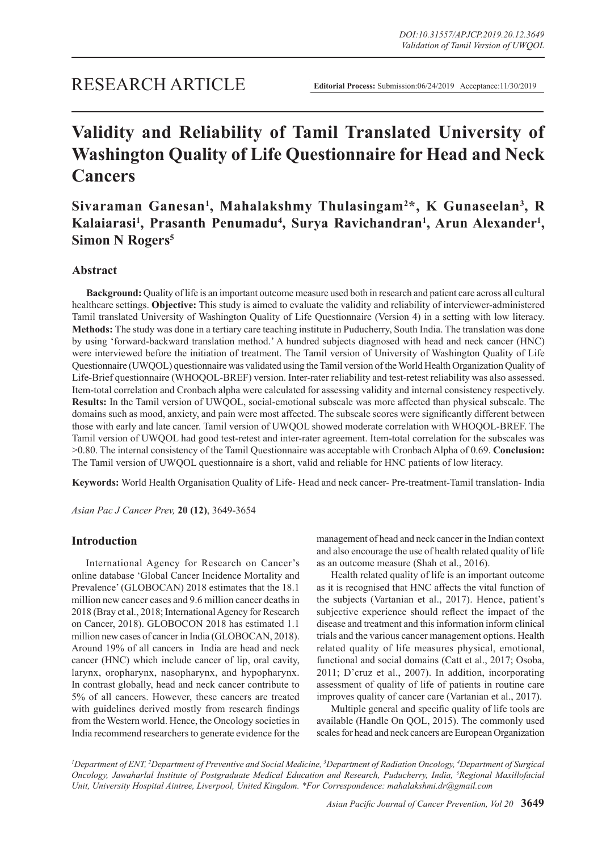## RESEARCH ARTICLE

# **Validity and Reliability of Tamil Translated University of Washington Quality of Life Questionnaire for Head and Neck Cancers**

## Sivaraman Ganesan<sup>1</sup>, Mahalakshmy Thulasingam<sup>2\*</sup>, K Gunaseelan<sup>3</sup>, R Kalaiarasi<sup>1</sup>, Prasanth Penumadu<sup>4</sup>, Surya Ravichandran<sup>1</sup>, Arun Alexander<sup>1</sup>, **Simon N Rogers5**

## **Abstract**

**Background:** Quality of life is an important outcome measure used both in research and patient care across all cultural healthcare settings. **Objective:** This study is aimed to evaluate the validity and reliability of interviewer-administered Tamil translated University of Washington Quality of Life Questionnaire (Version 4) in a setting with low literacy. **Methods:** The study was done in a tertiary care teaching institute in Puducherry, South India. The translation was done by using 'forward-backward translation method.' A hundred subjects diagnosed with head and neck cancer (HNC) were interviewed before the initiation of treatment. The Tamil version of University of Washington Quality of Life Questionnaire (UWQOL) questionnaire was validated using the Tamil version of the World Health Organization Quality of Life-Brief questionnaire (WHOQOL-BREF) version. Inter-rater reliability and test-retest reliability was also assessed. Item-total correlation and Cronbach alpha were calculated for assessing validity and internal consistency respectively. **Results:** In the Tamil version of UWQOL, social-emotional subscale was more affected than physical subscale. The domains such as mood, anxiety, and pain were most affected. The subscale scores were significantly different between those with early and late cancer. Tamil version of UWQOL showed moderate correlation with WHOQOL-BREF. The Tamil version of UWQOL had good test-retest and inter-rater agreement. Item-total correlation for the subscales was >0.80. The internal consistency of the Tamil Questionnaire was acceptable with Cronbach Alpha of 0.69. **Conclusion:** The Tamil version of UWQOL questionnaire is a short, valid and reliable for HNC patients of low literacy.

**Keywords:** World Health Organisation Quality of Life- Head and neck cancer- Pre-treatment-Tamil translation- India

*Asian Pac J Cancer Prev,* **20 (12)**, 3649-3654

## **Introduction**

International Agency for Research on Cancer's online database 'Global Cancer Incidence Mortality and Prevalence' (GLOBOCAN) 2018 estimates that the 18.1 million new cancer cases and 9.6 million cancer deaths in 2018 (Bray et al., 2018; International Agency for Research on Cancer, 2018). GLOBOCON 2018 has estimated 1.1 million new cases of cancer in India (GLOBOCAN, 2018). Around 19% of all cancers in India are head and neck cancer (HNC) which include cancer of lip, oral cavity, larynx, oropharynx, nasopharynx, and hypopharynx. In contrast globally, head and neck cancer contribute to 5% of all cancers. However, these cancers are treated with guidelines derived mostly from research findings from the Western world. Hence, the Oncology societies in India recommend researchers to generate evidence for the management of head and neck cancer in the Indian context and also encourage the use of health related quality of life as an outcome measure (Shah et al., 2016).

Health related quality of life is an important outcome as it is recognised that HNC affects the vital function of the subjects (Vartanian et al., 2017). Hence, patient's subjective experience should reflect the impact of the disease and treatment and this information inform clinical trials and the various cancer management options. Health related quality of life measures physical, emotional, functional and social domains (Catt et al., 2017; Osoba, 2011; D'cruz et al., 2007). In addition, incorporating assessment of quality of life of patients in routine care improves quality of cancer care (Vartanian et al., 2017).

Multiple general and specific quality of life tools are available (Handle On QOL, 2015). The commonly used scales for head and neck cancers are European Organization

*1 Department of ENT, 2 Department of Preventive and Social Medicine, 3 Department of Radiation Oncology, 4 Department of Surgical Oncology, Jawaharlal Institute of Postgraduate Medical Education and Research, Puducherry, India, 5 Regional Maxillofacial Unit, University Hospital Aintree, Liverpool, United Kingdom. \*For Correspondence: mahalakshmi.dr@gmail.com*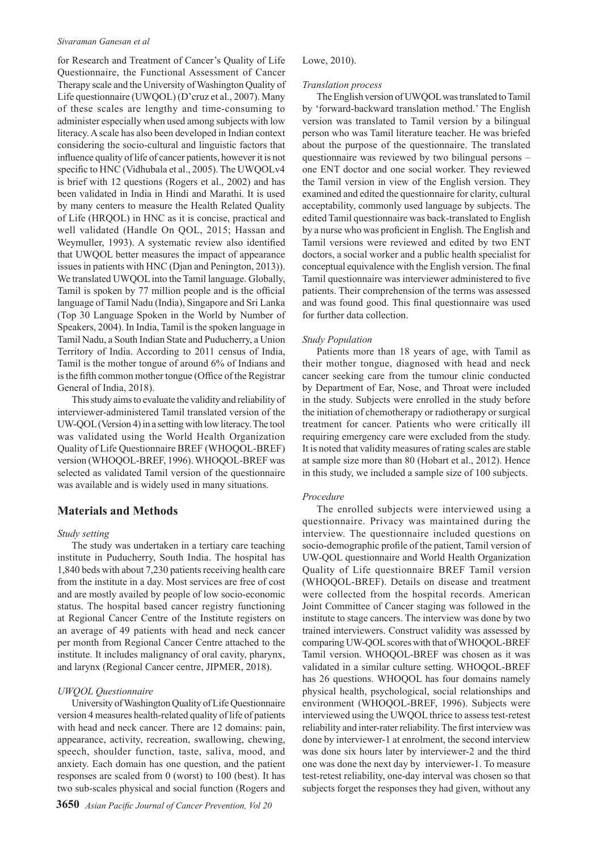#### *Sivaraman Ganesan et al*

for Research and Treatment of Cancer's Quality of Life Questionnaire, the Functional Assessment of Cancer Therapy scale and the University of Washington Quality of Life questionnaire (UWQOL) (D'cruz et al., 2007). Many of these scales are lengthy and time-consuming to administer especially when used among subjects with low literacy. A scale has also been developed in Indian context considering the socio-cultural and linguistic factors that influence quality of life of cancer patients, however it is not specific to HNC (Vidhubala et al., 2005). The UWQOLv4 is brief with 12 questions (Rogers et al., 2002) and has been validated in India in Hindi and Marathi. It is used by many centers to measure the Health Related Quality of Life (HRQOL) in HNC as it is concise, practical and well validated (Handle On QOL, 2015; Hassan and Weymuller, 1993). A systematic review also identified that UWQOL better measures the impact of appearance issues in patients with HNC (Djan and Penington, 2013)). We translated UWQOL into the Tamil language. Globally, Tamil is spoken by 77 million people and is the official language of Tamil Nadu (India), Singapore and Sri Lanka (Top 30 Language Spoken in the World by Number of Speakers, 2004). In India, Tamil is the spoken language in Tamil Nadu, a South Indian State and Puducherry, a Union Territory of India. According to 2011 census of India, Tamil is the mother tongue of around 6% of Indians and is the fifth common mother tongue (Office of the Registrar General of India, 2018).

This study aims to evaluate the validity and reliability of interviewer-administered Tamil translated version of the UW-QOL (Version 4) in a setting with low literacy. The tool was validated using the World Health Organization Quality of Life Questionnaire BREF (WHOQOL-BREF) version (WHOQOL-BREF, 1996). WHOQOL-BREF was selected as validated Tamil version of the questionnaire was available and is widely used in many situations.

## **Materials and Methods**

#### *Study setting*

The study was undertaken in a tertiary care teaching institute in Puducherry, South India. The hospital has 1,840 beds with about 7,230 patients receiving health care from the institute in a day. Most services are free of cost and are mostly availed by people of low socio-economic status. The hospital based cancer registry functioning at Regional Cancer Centre of the Institute registers on an average of 49 patients with head and neck cancer per month from Regional Cancer Centre attached to the institute. It includes malignancy of oral cavity, pharynx, and larynx (Regional Cancer centre, JIPMER, 2018).

### *UWQOL Questionnaire*

University of Washington Quality of Life Questionnaire version 4 measures health-related quality of life of patients with head and neck cancer. There are 12 domains: pain, appearance, activity, recreation, swallowing, chewing, speech, shoulder function, taste, saliva, mood, and anxiety. Each domain has one question, and the patient responses are scaled from 0 (worst) to 100 (best). It has two sub-scales physical and social function (Rogers and

#### Lowe, 2010).

#### *Translation process*

The English version of UWQOL was translated to Tamil by 'forward-backward translation method.' The English version was translated to Tamil version by a bilingual person who was Tamil literature teacher. He was briefed about the purpose of the questionnaire. The translated questionnaire was reviewed by two bilingual persons – one ENT doctor and one social worker. They reviewed the Tamil version in view of the English version. They examined and edited the questionnaire for clarity, cultural acceptability, commonly used language by subjects. The edited Tamil questionnaire was back-translated to English by a nurse who was proficient in English. The English and Tamil versions were reviewed and edited by two ENT doctors, a social worker and a public health specialist for conceptual equivalence with the English version. The final Tamil questionnaire was interviewer administered to five patients. Their comprehension of the terms was assessed and was found good. This final questionnaire was used for further data collection.

#### *Study Population*

Patients more than 18 years of age, with Tamil as their mother tongue, diagnosed with head and neck cancer seeking care from the tumour clinic conducted by Department of Ear, Nose, and Throat were included in the study. Subjects were enrolled in the study before the initiation of chemotherapy or radiotherapy or surgical treatment for cancer. Patients who were critically ill requiring emergency care were excluded from the study. It is noted that validity measures of rating scales are stable at sample size more than 80 (Hobart et al., 2012). Hence in this study, we included a sample size of 100 subjects.

#### *Procedure*

The enrolled subjects were interviewed using a questionnaire. Privacy was maintained during the interview. The questionnaire included questions on socio-demographic profile of the patient, Tamil version of UW-QOL questionnaire and World Health Organization Quality of Life questionnaire BREF Tamil version (WHOQOL-BREF). Details on disease and treatment were collected from the hospital records. American Joint Committee of Cancer staging was followed in the institute to stage cancers. The interview was done by two trained interviewers. Construct validity was assessed by comparing UW-QOL scores with that of WHOQOL-BREF Tamil version. WHOQOL-BREF was chosen as it was validated in a similar culture setting. WHOQOL-BREF has 26 questions. WHOQOL has four domains namely physical health, psychological, social relationships and environment (WHOQOL-BREF, 1996). Subjects were interviewed using the UWQOL thrice to assess test-retest reliability and inter-rater reliability. The first interview was done by interviewer-1 at enrolment, the second interview was done six hours later by interviewer-2 and the third one was done the next day by interviewer-1. To measure test-retest reliability, one-day interval was chosen so that subjects forget the responses they had given, without any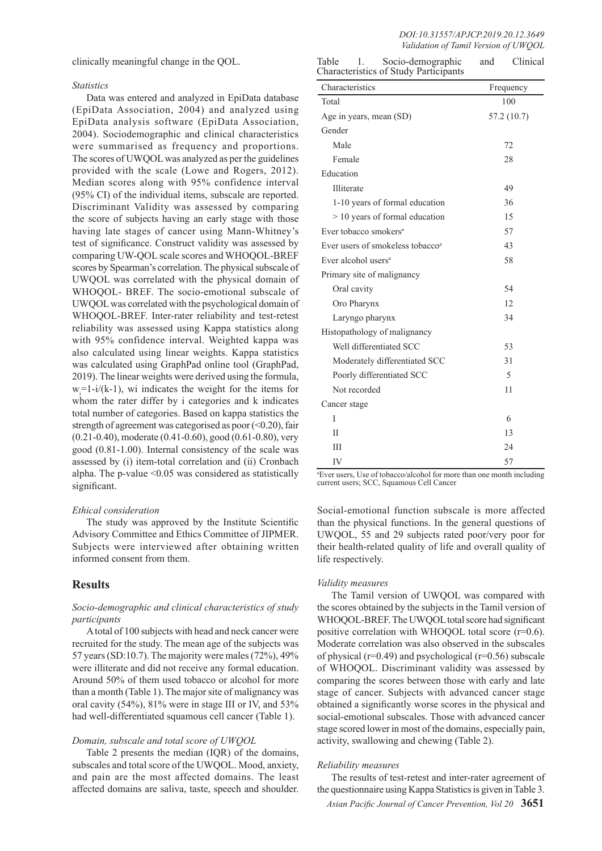clinically meaningful change in the QOL.

#### *Statistics*

Data was entered and analyzed in EpiData database (EpiData Association, 2004) and analyzed using EpiData analysis software (EpiData Association, 2004). Sociodemographic and clinical characteristics were summarised as frequency and proportions. The scores of UWQOL was analyzed as per the guidelines provided with the scale (Lowe and Rogers, 2012). Median scores along with 95% confidence interval (95% CI) of the individual items, subscale are reported. Discriminant Validity was assessed by comparing the score of subjects having an early stage with those having late stages of cancer using Mann-Whitney's test of significance. Construct validity was assessed by comparing UW-QOL scale scores and WHOQOL-BREF scores by Spearman's correlation. The physical subscale of UWQOL was correlated with the physical domain of WHOQOL- BREF. The socio-emotional subscale of UWQOL was correlated with the psychological domain of WHOQOL-BREF. Inter-rater reliability and test-retest reliability was assessed using Kappa statistics along with 95% confidence interval. Weighted kappa was also calculated using linear weights. Kappa statistics was calculated using GraphPad online tool (GraphPad, 2019). The linear weights were derived using the formula,  $w_i=1-i/(k-1)$ , wi indicates the weight for the items for whom the rater differ by i categories and k indicates total number of categories. Based on kappa statistics the strength of agreement was categorised as poor  $($ <br/>0.20), fair (0.21-0.40), moderate (0.41-0.60), good (0.61-0.80), very good (0.81-1.00). Internal consistency of the scale was assessed by (i) item-total correlation and (ii) Cronbach alpha. The p-value <0.05 was considered as statistically significant.

#### *Ethical consideration*

The study was approved by the Institute Scientific Advisory Committee and Ethics Committee of JIPMER. Subjects were interviewed after obtaining written informed consent from them.

## **Results**

## *Socio-demographic and clinical characteristics of study participants*

A total of 100 subjects with head and neck cancer were recruited for the study. The mean age of the subjects was 57 years (SD:10.7). The majority were males (72%), 49% were illiterate and did not receive any formal education. Around 50% of them used tobacco or alcohol for more than a month (Table 1). The major site of malignancy was oral cavity (54%), 81% were in stage III or IV, and 53% had well-differentiated squamous cell cancer (Table 1).

#### *Domain, subscale and total score of UWQOL*

Table 2 presents the median (IQR) of the domains, subscales and total score of the UWQOL. Mood, anxiety, and pain are the most affected domains. The least affected domains are saliva, taste, speech and shoulder.

| Table<br>Socio-demographic<br>1.<br>Characteristics of Study Participants | and       | Clinical    |  |
|---------------------------------------------------------------------------|-----------|-------------|--|
| Characteristics                                                           | Frequency |             |  |
| Total                                                                     | 100       |             |  |
| Age in years, mean (SD)                                                   |           | 57.2 (10.7) |  |
| Gender                                                                    |           |             |  |
| Male                                                                      |           | 72          |  |
| Female                                                                    | 28        |             |  |
| Education                                                                 |           |             |  |
| Illiterate                                                                |           | 49          |  |
| 1-10 years of formal education                                            | 36        |             |  |
| $> 10$ years of formal education                                          |           | 15          |  |
| Ever tobacco smokers <sup>a</sup>                                         | 57        |             |  |
| Ever users of smokeless tobacco <sup>a</sup>                              | 43        |             |  |
| Ever alcohol users <sup>a</sup>                                           |           | 58          |  |
| Primary site of malignancy                                                |           |             |  |
| Oral cavity                                                               |           | 54          |  |
| Oro Pharynx                                                               |           | 12          |  |
| Laryngo pharynx                                                           |           | 34          |  |
| Histopathology of malignancy                                              |           |             |  |
| Well differentiated SCC                                                   |           | 53          |  |
| Moderately differentiated SCC                                             | 31        |             |  |
| Poorly differentiated SCC                                                 | 5         |             |  |
| Not recorded                                                              |           | 11          |  |
| Cancer stage                                                              |           |             |  |
| I                                                                         |           | 6           |  |
| П                                                                         |           | 13          |  |
| Ш                                                                         |           | 24          |  |
| IV                                                                        |           | 57          |  |

a Ever users, Use of tobacco/alcohol for more than one month including current users; SCC, Squamous Cell Cancer

Social-emotional function subscale is more affected than the physical functions. In the general questions of UWQOL, 55 and 29 subjects rated poor/very poor for their health-related quality of life and overall quality of life respectively.

#### *Validity measures*

The Tamil version of UWQOL was compared with the scores obtained by the subjects in the Tamil version of WHOQOL-BREF. The UWQOL total score had significant positive correlation with WHOQOL total score (r=0.6). Moderate correlation was also observed in the subscales of physical ( $r=0.49$ ) and psychological ( $r=0.56$ ) subscale of WHOQOL. Discriminant validity was assessed by comparing the scores between those with early and late stage of cancer. Subjects with advanced cancer stage obtained a significantly worse scores in the physical and social-emotional subscales. Those with advanced cancer stage scored lower in most of the domains, especially pain, activity, swallowing and chewing (Table 2).

#### *Reliability measures*

The results of test-retest and inter-rater agreement of the questionnaire using Kappa Statistics is given in Table 3.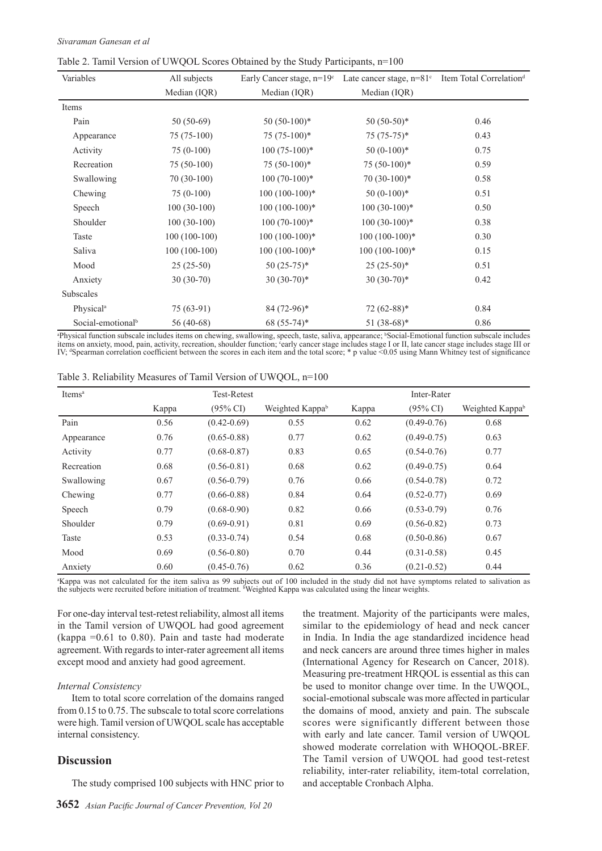|  |  |  |  |  |  |  |  |  | Table 2. Tamil Version of UWQOL Scores Obtained by the Study Participants, n=100 |  |
|--|--|--|--|--|--|--|--|--|----------------------------------------------------------------------------------|--|
|--|--|--|--|--|--|--|--|--|----------------------------------------------------------------------------------|--|

| Variables                     | All subjects   | Early Cancer stage, $n=19^{\circ}$ | Late cancer stage, n=81° Item Total Correlation <sup>d</sup> |      |
|-------------------------------|----------------|------------------------------------|--------------------------------------------------------------|------|
|                               | Median (IQR)   | Median (IQR)                       | Median (IQR)                                                 |      |
| Items                         |                |                                    |                                                              |      |
| Pain                          | $50(50-69)$    | $50(50-100)*$                      | $50(50-50)*$                                                 | 0.46 |
| Appearance                    | $75(75-100)$   | $75(75-100)*$                      | $75(75-75)*$                                                 | 0.43 |
| Activity                      | $75(0-100)$    | $100(75-100)*$                     | $50(0-100)*$                                                 | 0.75 |
| Recreation                    | $75(50-100)$   | $75(50-100)*$                      | $75(50-100)*$                                                | 0.59 |
| Swallowing                    | $70(30-100)$   | $100(70-100)*$                     | $70(30-100)*$                                                | 0.58 |
| Chewing                       | $75(0-100)$    | $100(100-100)*$                    | $50(0-100)*$                                                 | 0.51 |
| Speech                        | $100(30-100)$  | $100(100-100)*$                    | $100(30-100)*$                                               | 0.50 |
| Shoulder                      | $100(30-100)$  | $100(70-100)*$                     | $100(30-100)*$                                               | 0.38 |
| Taste                         | $100(100-100)$ | $100(100-100)*$                    | $100(100-100)*$                                              | 0.30 |
| Saliva                        | $100(100-100)$ | $100(100-100)*$                    | $100(100-100)*$                                              | 0.15 |
| Mood                          | $25(25-50)$    | $50(25-75)*$                       | $25(25-50)*$                                                 | 0.51 |
| Anxiety                       | $30(30-70)$    | $30(30-70)*$                       | $30(30-70)*$                                                 | 0.42 |
| Subscales                     |                |                                    |                                                              |      |
| Physical <sup>a</sup>         | $75(63-91)$    | $84(72-96)$ *                      | $72(62-88)*$                                                 | 0.84 |
| Social-emotional <sup>b</sup> | 56 (40-68)     | 68 (55-74)*                        | $51(38-68)*$                                                 | 0.86 |

"Physical function subscale includes items on chewing, swallowing, speech, taste, saliva, appearance; "Social-Emotional function subscale includes<br>items on anxiety, mood, pain, activity, recreation, shoulder function; "ear

| Items <sup>a</sup> | <b>Test-Retest</b> |                     |                             | Inter-Rater |                     |                             |  |
|--------------------|--------------------|---------------------|-----------------------------|-------------|---------------------|-----------------------------|--|
|                    | Kappa              | $(95\% \text{ CI})$ | Weighted Kappa <sup>b</sup> | Kappa       | $(95\% \text{ CI})$ | Weighted Kappa <sup>b</sup> |  |
| Pain               | 0.56               | $(0.42 - 0.69)$     | 0.55                        | 0.62        | $(0.49 - 0.76)$     | 0.68                        |  |
| Appearance         | 0.76               | $(0.65 - 0.88)$     | 0.77                        | 0.62        | $(0.49 - 0.75)$     | 0.63                        |  |
| Activity           | 0.77               | $(0.68 - 0.87)$     | 0.83                        | 0.65        | $(0.54 - 0.76)$     | 0.77                        |  |
| Recreation         | 0.68               | $(0.56 - 0.81)$     | 0.68                        | 0.62        | $(0.49 - 0.75)$     | 0.64                        |  |
| Swallowing         | 0.67               | $(0.56 - 0.79)$     | 0.76                        | 0.66        | $(0.54 - 0.78)$     | 0.72                        |  |
| Chewing            | 0.77               | $(0.66 - 0.88)$     | 0.84                        | 0.64        | $(0.52 - 0.77)$     | 0.69                        |  |
| Speech             | 0.79               | $(0.68 - 0.90)$     | 0.82                        | 0.66        | $(0.53 - 0.79)$     | 0.76                        |  |
| Shoulder           | 0.79               | $(0.69 - 0.91)$     | 0.81                        | 0.69        | $(0.56 - 0.82)$     | 0.73                        |  |
| Taste              | 0.53               | $(0.33 - 0.74)$     | 0.54                        | 0.68        | $(0.50 - 0.86)$     | 0.67                        |  |
| Mood               | 0.69               | $(0.56 - 0.80)$     | 0.70                        | 0.44        | $(0.31 - 0.58)$     | 0.45                        |  |
| Anxiety            | 0.60               | $(0.45 - 0.76)$     | 0.62                        | 0.36        | $(0.21 - 0.52)$     | 0.44                        |  |

Table 3. Reliability Measures of Tamil Version of UWQOL, n=100

a Kappa was not calculated for the item saliva as 99 subjects out of 100 included in the study did not have symptoms related to salivation as the subjects were recruited before initiation of treatment. <sup>b</sup>Weighted Kappa was calculated using the linear weights.

For one-day interval test-retest reliability, almost all items in the Tamil version of UWQOL had good agreement (kappa  $=0.61$  to 0.80). Pain and taste had moderate agreement. With regards to inter-rater agreement all items except mood and anxiety had good agreement.

### *Internal Consistency*

Item to total score correlation of the domains ranged from 0.15 to 0.75. The subscale to total score correlations were high. Tamil version of UWQOL scale has acceptable internal consistency.

## **Discussion**

The study comprised 100 subjects with HNC prior to

the treatment. Majority of the participants were males, similar to the epidemiology of head and neck cancer in India. In India the age standardized incidence head and neck cancers are around three times higher in males (International Agency for Research on Cancer, 2018). Measuring pre-treatment HRQOL is essential as this can be used to monitor change over time. In the UWQOL, social-emotional subscale was more affected in particular the domains of mood, anxiety and pain. The subscale scores were significantly different between those with early and late cancer. Tamil version of UWQOL showed moderate correlation with WHOQOL-BREF. The Tamil version of UWQOL had good test-retest reliability, inter-rater reliability, item-total correlation, and acceptable Cronbach Alpha.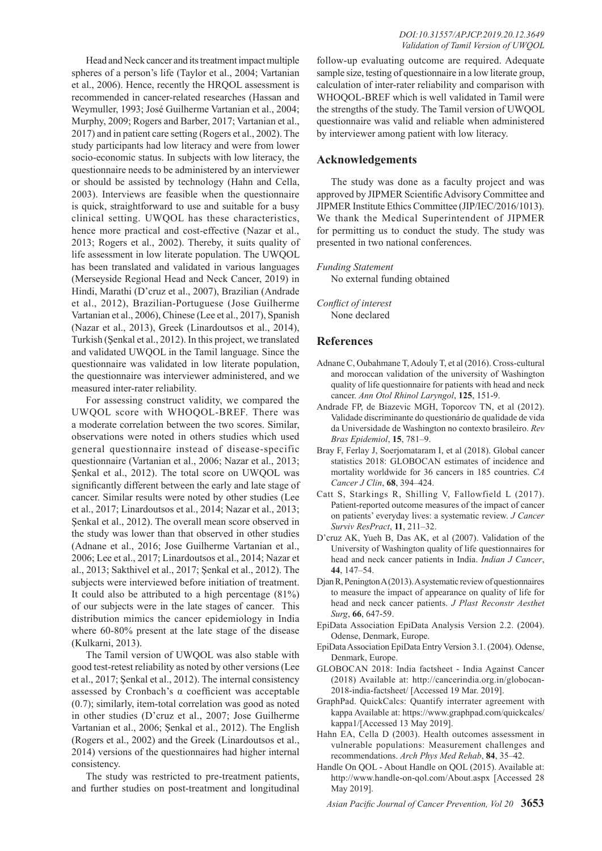Head and Neck cancer and its treatment impact multiple spheres of a person's life (Taylor et al., 2004; Vartanian et al., 2006). Hence, recently the HRQOL assessment is recommended in cancer-related researches (Hassan and Weymuller, 1993; José Guilherme Vartanian et al., 2004; Murphy, 2009; Rogers and Barber, 2017; Vartanian et al., 2017) and in patient care setting (Rogers et al., 2002). The study participants had low literacy and were from lower socio-economic status. In subjects with low literacy, the questionnaire needs to be administered by an interviewer or should be assisted by technology (Hahn and Cella, 2003). Interviews are feasible when the questionnaire is quick, straightforward to use and suitable for a busy clinical setting. UWQOL has these characteristics, hence more practical and cost-effective (Nazar et al., 2013; Rogers et al., 2002). Thereby, it suits quality of life assessment in low literate population. The UWQOL has been translated and validated in various languages (Merseyside Regional Head and Neck Cancer, 2019) in Hindi, Marathi (D'cruz et al., 2007), Brazilian (Andrade et al., 2012), Brazilian-Portuguese (Jose Guilherme Vartanian et al., 2006), Chinese (Lee et al., 2017), Spanish (Nazar et al., 2013), Greek (Linardoutsos et al., 2014), Turkish (Şenkal et al., 2012). In this project, we translated and validated UWQOL in the Tamil language. Since the questionnaire was validated in low literate population, the questionnaire was interviewer administered, and we measured inter-rater reliability.

For assessing construct validity, we compared the UWQOL score with WHOQOL-BREF. There was a moderate correlation between the two scores. Similar, observations were noted in others studies which used general questionnaire instead of disease-specific questionnaire (Vartanian et al., 2006; Nazar et al., 2013; Şenkal et al., 2012). The total score on UWQOL was significantly different between the early and late stage of cancer. Similar results were noted by other studies (Lee et al., 2017; Linardoutsos et al., 2014; Nazar et al., 2013; Şenkal et al., 2012). The overall mean score observed in the study was lower than that observed in other studies (Adnane et al., 2016; Jose Guilherme Vartanian et al., 2006; Lee et al., 2017; Linardoutsos et al., 2014; Nazar et al., 2013; Sakthivel et al., 2017; Şenkal et al., 2012). The subjects were interviewed before initiation of treatment. It could also be attributed to a high percentage (81%) of our subjects were in the late stages of cancer. This distribution mimics the cancer epidemiology in India where 60-80% present at the late stage of the disease (Kulkarni, 2013).

The Tamil version of UWQOL was also stable with good test-retest reliability as noted by other versions (Lee et al., 2017; Şenkal et al., 2012). The internal consistency assessed by Cronbach's α coefficient was acceptable (0.7); similarly, item-total correlation was good as noted in other studies (D'cruz et al., 2007; Jose Guilherme Vartanian et al., 2006; Şenkal et al., 2012). The English (Rogers et al., 2002) and the Greek (Linardoutsos et al., 2014) versions of the questionnaires had higher internal consistency.

The study was restricted to pre-treatment patients, and further studies on post-treatment and longitudinal

follow-up evaluating outcome are required. Adequate sample size, testing of questionnaire in a low literate group, calculation of inter-rater reliability and comparison with WHOQOL-BREF which is well validated in Tamil were the strengths of the study. The Tamil version of UWQOL questionnaire was valid and reliable when administered by interviewer among patient with low literacy.

## **Acknowledgements**

The study was done as a faculty project and was approved by JIPMER Scientific Advisory Committee and JIPMER Institute Ethics Committee (JIP/IEC/2016/1013). We thank the Medical Superintendent of JIPMER for permitting us to conduct the study. The study was presented in two national conferences.

*Funding Statement*

No external funding obtained

*Conflict of interest* None declared

## **References**

- Adnane C, Oubahmane T, Adouly T, et al (2016). Cross-cultural and moroccan validation of the university of Washington quality of life questionnaire for patients with head and neck cancer. *Ann Otol Rhinol Laryngol*, **125**, 151-9.
- Andrade FP, de Biazevic MGH, Toporcov TN, et al (2012). Validade discriminante do questionário de qualidade de vida da Universidade de Washington no contexto brasileiro. *Rev Bras Epidemiol*, **15**, 781–9.
- Bray F, Ferlay J, Soerjomataram I, et al (2018). Global cancer statistics 2018: GLOBOCAN estimates of incidence and mortality worldwide for 36 cancers in 185 countries. *CA Cancer J Clin*, **68**, 394–424.
- Catt S, Starkings R, Shilling V, Fallowfield L (2017). Patient-reported outcome measures of the impact of cancer on patients' everyday lives: a systematic review. *J Cancer Surviv ResPract*, **11**, 211–32.
- D'cruz AK, Yueh B, Das AK, et al (2007). Validation of the University of Washington quality of life questionnaires for head and neck cancer patients in India. *Indian J Cancer*, **44**, 147–54.
- Djan R, Penington A (2013). A systematic review of questionnaires to measure the impact of appearance on quality of life for head and neck cancer patients. *J Plast Reconstr Aesthet Surg*, **66**, 647-59.
- EpiData Association EpiData Analysis Version 2.2. (2004). Odense, Denmark, Europe.
- EpiData Association EpiData Entry Version 3.1. (2004). Odense, Denmark, Europe.
- GLOBOCAN 2018: India factsheet India Against Cancer (2018) Available at: http://cancerindia.org.in/globocan-2018-india-factsheet/ [Accessed 19 Mar. 2019].
- GraphPad. QuickCalcs: Quantify interrater agreement with kappa Available at: https://www.graphpad.com/quickcalcs/ kappa1/[Accessed 13 May 2019].
- Hahn EA, Cella D (2003). Health outcomes assessment in vulnerable populations: Measurement challenges and recommendations. *Arch Phys Med Rehab*, **84**, 35–42.
- Handle On QOL About Handle on QOL (2015). Available at: http://www.handle-on-qol.com/About.aspx [Accessed 28 May 2019].

*Asian Pacific Journal of Cancer Prevention, Vol 20* **3653**